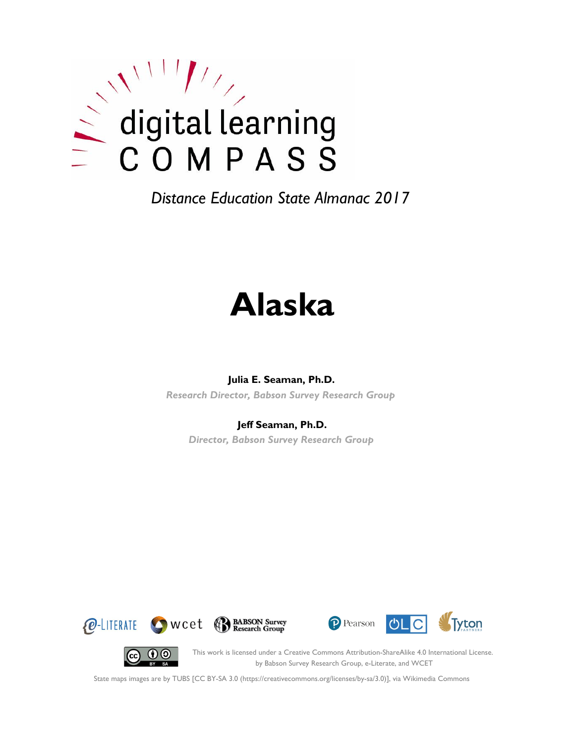

# **Alaska**

#### **Julia E. Seaman, Ph.D.**

*Research Director, Babson Survey Research Group*

#### **Jeff Seaman, Ph.D.**

*Director, Babson Survey Research Group*









This work is licensed under a Creative Commons Attribution-ShareAlike 4.0 International License. by Babson Survey Research Group, e-Literate, and WCET

State maps images are by TUBS [CC BY-SA 3.0 (https://creativecommons.org/licenses/by-sa/3.0)], via Wikimedia Commons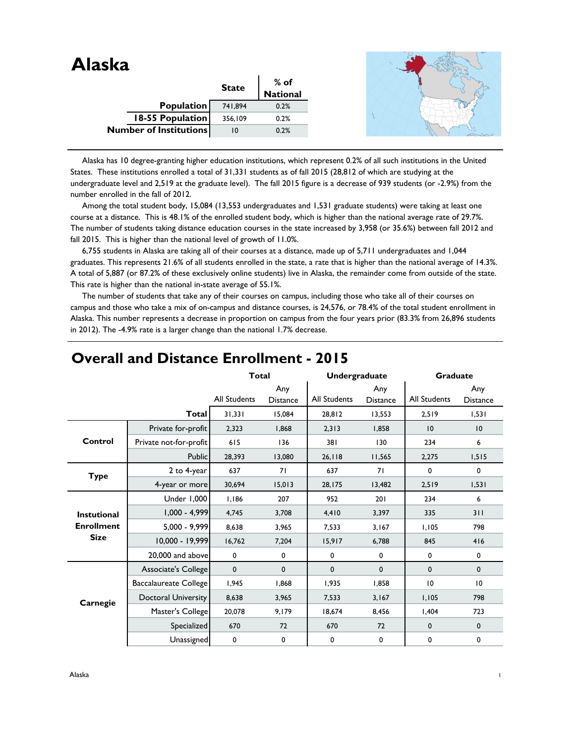| Alaska |                               |              |                  |
|--------|-------------------------------|--------------|------------------|
|        |                               | <b>State</b> | % of<br>National |
|        | Population                    | 741,894      | 0.2%             |
|        | 18-55 Population              | 356,109      | 0.2%             |
|        | <b>Number of Institutions</b> | 10           | 0.2%             |

 Alaska has 10 degree-granting higher education institutions, which represent 0.2% of all such institutions in the United States. These institutions enrolled a total of 31,331 students as of fall 2015 (28,812 of which are studying at the undergraduate level and 2,519 at the graduate level). The fall 2015 figure is a decrease of 939 students (or -2.9%) from the number enrolled in the fall of 2012.

 Among the total student body, 15,084 (13,553 undergraduates and 1,531 graduate students) were taking at least one course at a distance. This is 48.1% of the enrolled student body, which is higher than the national average rate of 29.7%. The number of students taking distance education courses in the state increased by 3,958 (or 35.6%) between fall 2012 and fall 2015. This is higher than the national level of growth of 11.0%.

 6,755 students in Alaska are taking all of their courses at a distance, made up of 5,711 undergraduates and 1,044 graduates. This represents 21.6% of all students enrolled in the state, a rate that is higher than the national average of 14.3%. A total of 5,887 (or 87.2% of these exclusively online students) live in Alaska, the remainder come from outside of the state. This rate is higher than the national in-state average of 55.1%.

 The number of students that take any of their courses on campus, including those who take all of their courses on campus and those who take a mix of on-campus and distance courses, is 24,576, or 78.4% of the total student enrollment in Alaska. This number represents a decrease in proportion on campus from the four years prior (83.3% from 26,896 students in 2012). The -4.9% rate is a larger change than the national 1.7% decrease.

|                                  |                        | <b>Total</b>        |                        | <b>Undergraduate</b> |                        | <b>Graduate</b>     |                        |
|----------------------------------|------------------------|---------------------|------------------------|----------------------|------------------------|---------------------|------------------------|
|                                  |                        | <b>All Students</b> | Any<br><b>Distance</b> | <b>All Students</b>  | Any<br><b>Distance</b> | <b>All Students</b> | Any<br><b>Distance</b> |
|                                  | <b>Total</b>           | 31,331              | 15,084                 | 28,812               | 13,553                 | 2,519               | 1,531                  |
|                                  | Private for-profit     | 2,323               | 1.868                  | 2,313                | 1.858                  | 10                  | 10                     |
| Control                          | Private not-for-profit | 615                 | 136                    | 381                  | 130                    | 234                 | 6                      |
|                                  | Public                 | 28,393              | 13,080                 | 26, 118              | 11,565                 | 2,275               | 1,515                  |
| <b>Type</b>                      | 2 to 4-year            | 637                 | 71                     | 637                  | 71                     | 0                   | 0                      |
|                                  | 4-year or more         | 30,694              | 15,013                 | 28,175               | 13,482                 | 2,519               | 1,531                  |
|                                  | Under 1,000            | 1,186               | 207                    | 952                  | 201                    | 234                 | 6                      |
| <b>Instutional</b>               | 1,000 - 4,999          | 4,745               | 3,708                  | 4,410                | 3,397                  | 335                 | 311                    |
| <b>Enrollment</b><br><b>Size</b> | 5,000 - 9,999          | 8.638               | 3,965                  | 7,533                | 3,167                  | 1,105               | 798                    |
|                                  | 10,000 - 19,999        | 16,762              | 7,204                  | 15,917               | 6,788                  | 845                 | 416                    |
|                                  | 20,000 and above       | $\mathbf 0$         | $\mathbf 0$            | 0                    | $\mathbf 0$            | 0                   | $\mathbf 0$            |
|                                  | Associate's College    | $\mathbf{0}$        | $\mathbf 0$            | 0                    | $\mathbf{0}$           | 0                   | $\mathbf 0$            |
|                                  | Baccalaureate College  | 1,945               | 1,868                  | 1,935                | 1,858                  | 10                  | 10                     |
| Carnegie                         | Doctoral University    | 8,638               | 3,965                  | 7,533                | 3,167                  | 1,105               | 798                    |
|                                  | Master's College       | 20,078              | 9,179                  | 18,674               | 8,456                  | 1,404               | 723                    |
|                                  | Specialized            | 670                 | 72                     | 670                  | 72                     | $\mathbf 0$         | $\mathbf 0$            |
|                                  | Unassigned             | 0                   | $\pmb{0}$              | 0                    | 0                      | 0                   | 0                      |

## **Overall and Distance Enrollment - 2015**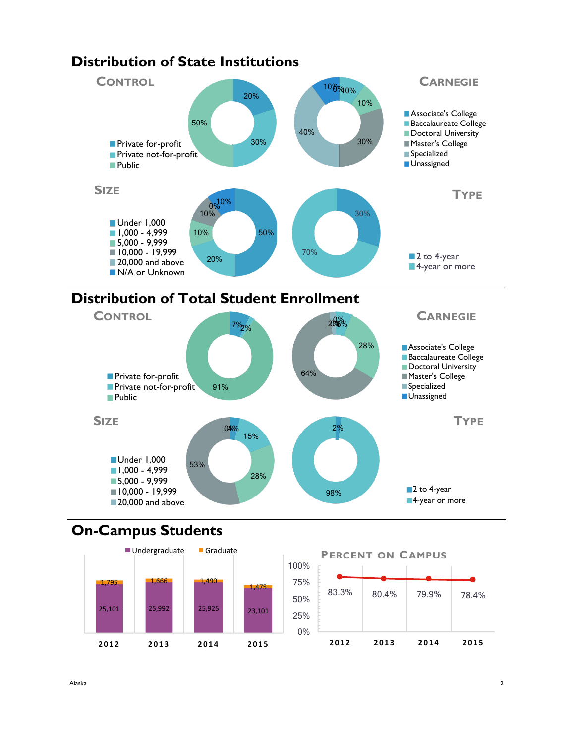

## **Distribution of State Institutions**

## **On-Campus Students**



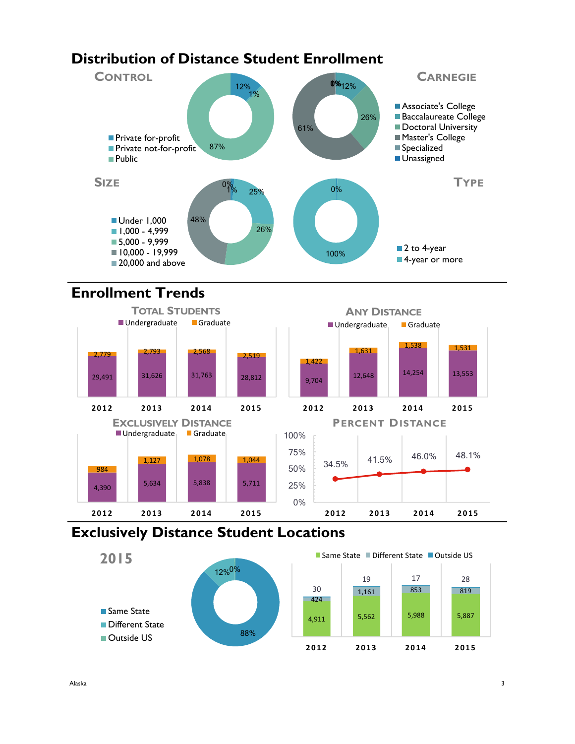## **Distribution of Distance Student Enrollment**



## **Enrollment Trends**



## **Exclusively Distance Student Locations**